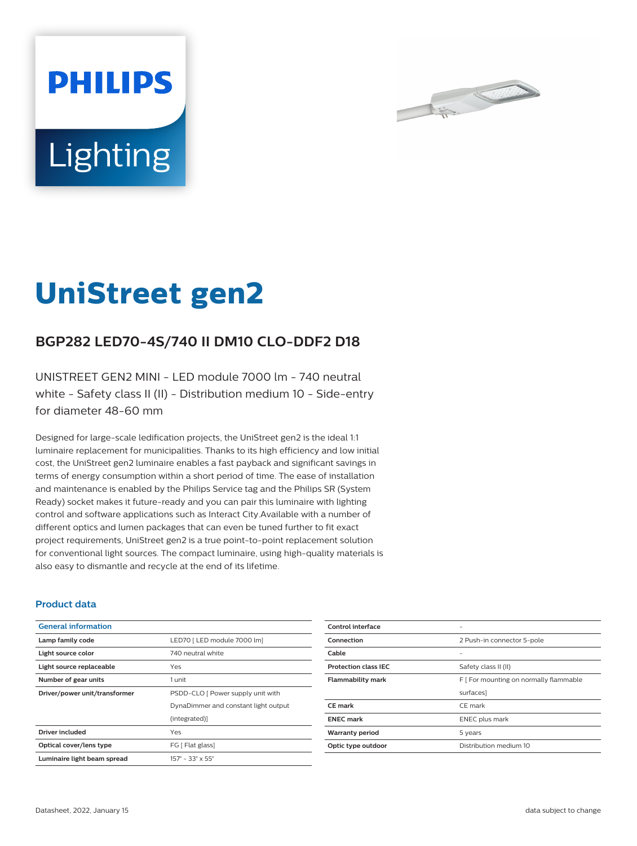



# **UniStreet gen2**

## **BGP282 LED70-4S/740 II DM10 CLO-DDF2 D18**

UNISTREET GEN2 MINI - LED module 7000 lm - 740 neutral white - Safety class II (II) - Distribution medium 10 - Side-entry for diameter 48-60 mm

Designed for large-scale ledification projects, the UniStreet gen2 is the ideal 1:1 luminaire replacement for municipalities. Thanks to its high efficiency and low initial cost, the UniStreet gen2 luminaire enables a fast payback and significant savings in terms of energy consumption within a short period of time. The ease of installation and maintenance is enabled by the Philips Service tag and the Philips SR (System Ready) socket makes it future-ready and you can pair this luminaire with lighting control and software applications such as Interact City.Available with a number of different optics and lumen packages that can even be tuned further to fit exact project requirements, UniStreet gen2 is a true point-to-point replacement solution for conventional light sources. The compact luminaire, using high-quality materials is also easy to dismantle and recycle at the end of its lifetime.

#### **Product data**

| <b>General information</b>    |                                              |
|-------------------------------|----------------------------------------------|
| Lamp family code              | LED70   LED module 7000 lm]                  |
| Light source color            | 740 neutral white                            |
| Light source replaceable      | Yes                                          |
| Number of gear units          | 1 unit                                       |
| Driver/power unit/transformer | PSDD-CLO [ Power supply unit with            |
|                               | DynaDimmer and constant light output         |
|                               | (integrated)                                 |
| Driver included               | Yes                                          |
| Optical cover/lens type       | FG [ Flat glass]                             |
| Luminaire light beam spread   | $157^{\circ} - 33^{\circ} \times 55^{\circ}$ |

| Control interface           |                                        |
|-----------------------------|----------------------------------------|
| Connection                  | 2 Push-in connector 5-pole             |
| Cable                       | -                                      |
| <b>Protection class IEC</b> | Safety class II (II)                   |
| <b>Flammability mark</b>    | F [ For mounting on normally flammable |
|                             | surfaces]                              |
| <b>CE</b> mark              | CE mark                                |
| <b>ENEC mark</b>            | <b>ENEC</b> plus mark                  |
| <b>Warranty period</b>      | 5 years                                |
| Optic type outdoor          | Distribution medium 10                 |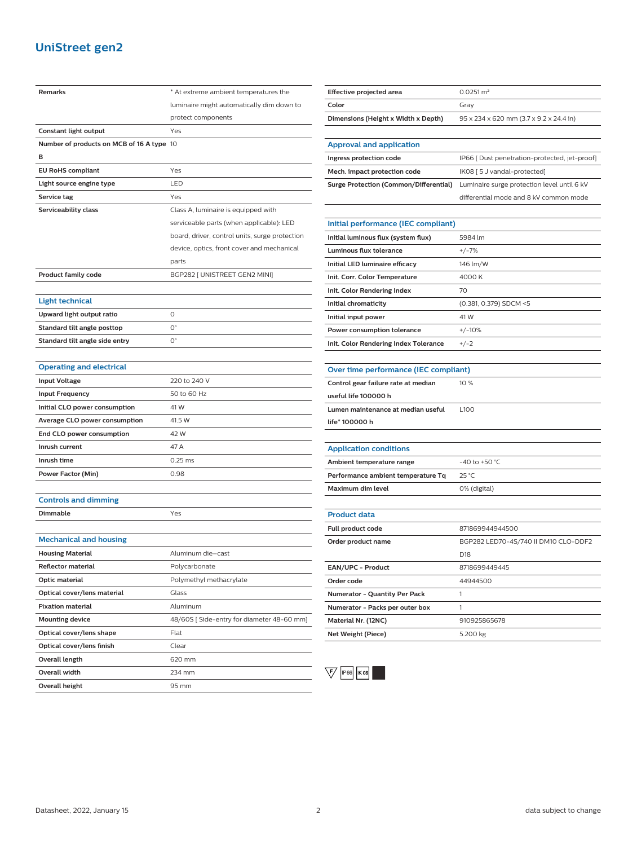## **UniStreet gen2**

| Remarks                                   | * At extreme ambient temperatures the          |
|-------------------------------------------|------------------------------------------------|
|                                           | luminaire might automatically dim down to      |
|                                           | protect components                             |
| Constant light output                     | Yes                                            |
| Number of products on MCB of 16 A type 10 |                                                |
| в                                         |                                                |
| <b>EU RoHS compliant</b>                  | Yes                                            |
| Light source engine type                  | LED                                            |
| Service tag                               | Yes                                            |
| Serviceability class                      | Class A, luminaire is equipped with            |
|                                           | serviceable parts (when applicable): LED       |
|                                           | board, driver, control units, surge protection |
|                                           | device, optics, front cover and mechanical     |
|                                           | parts                                          |
| <b>Product family code</b>                | BGP282 [ UNISTREET GEN2 MINI]                  |
|                                           |                                                |
| <b>Light technical</b>                    |                                                |
| Upward light output ratio                 | 0                                              |
| Standard tilt angle posttop               | 0°                                             |
| Standard tilt angle side entry            | О°                                             |
|                                           |                                                |
| <b>Operating and electrical</b>           |                                                |
| <b>Input Voltage</b>                      | 220 to 240 V                                   |
| <b>Input Frequency</b>                    | 50 to 60 Hz                                    |
| Initial CLO power consumption             | 41 W                                           |
| <b>Average CLO power consumption</b>      | 41.5 W                                         |
| End CLO power consumption                 | 42 W                                           |
| Inrush current                            | 47 A                                           |
| Inrush time                               | $0.25$ ms                                      |
| <b>Power Factor (Min)</b>                 | 0.98                                           |
|                                           |                                                |
| <b>Controls and dimming</b>               |                                                |
| Dimmable                                  | Yes                                            |
|                                           |                                                |
| <b>Mechanical and housing</b>             |                                                |
| <b>Housing Material</b>                   | Aluminum die-cast                              |
| <b>Reflector material</b>                 | Polycarbonate                                  |
| Optic material                            | Polymethyl methacrylate                        |
| Optical cover/lens material               | Glass                                          |
| <b>Fixation material</b>                  | Aluminum                                       |
| <b>Mounting device</b>                    | 48/60S [Side-entry for diameter 48-60 mm]      |
| Optical cover/lens shape                  | Flat                                           |
| Optical cover/lens finish                 | Clear                                          |
| Overall length                            | 620 mm                                         |
| Overall width                             | 234 mm                                         |
| <b>Overall height</b>                     | 95 mm                                          |
|                                           |                                                |

| Effective projected area               | $0.0251 \text{ m}^2$                          |
|----------------------------------------|-----------------------------------------------|
| Color                                  | Gray                                          |
| Dimensions (Height x Width x Depth)    | 95 x 234 x 620 mm (3.7 x 9.2 x 24.4 in)       |
|                                        |                                               |
| Approval and application               |                                               |
| Ingress protection code                | IP66 [ Dust penetration-protected, jet-proof] |
| Mech. impact protection code           | IK08 [ 5 J vandal-protected]                  |
| Surge Protection (Common/Differential) | Luminaire surge protection level until 6 kV   |
|                                        | differential mode and 8 kV common mode        |
|                                        |                                               |
| Initial performance (IEC compliant)    |                                               |
|                                        |                                               |

| Initial luminous flux (system flux)   | 5984 lm                |
|---------------------------------------|------------------------|
| Luminous flux tolerance               | $+/-7%$                |
| Initial LED luminaire efficacy        | 146 lm/W               |
| Init. Corr. Color Temperature         | 4000 K                 |
| Init. Color Rendering Index           | 70                     |
| Initial chromaticity                  | (0.381, 0.379) SDCM <5 |
| Initial input power                   | 41 W                   |
| Power consumption tolerance           | $+/-10%$               |
| Init. Color Rendering Index Tolerance | $+/-2$                 |
|                                       |                        |

| Over time performance (IEC compliant)                                                                           |             |
|-----------------------------------------------------------------------------------------------------------------|-------------|
| Control gear failure rate at median                                                                             | 10%         |
| useful life 100000 h                                                                                            |             |
| Lumen maintenance at median useful                                                                              | <b>L100</b> |
| life* 100000 h                                                                                                  |             |
|                                                                                                                 |             |
| the contract of the contract of the contract of the contract of the contract of the contract of the contract of |             |

| <b>Application conditions</b>      |                  |
|------------------------------------|------------------|
| Ambient temperature range          | $-40$ to +50 °C. |
| Performance ambient temperature Tq | $25^{\circ}$ C   |
| Maximum dim level                  | 0% (digital)     |
|                                    |                  |

### **Product data**

| $1.1$ below the second second second second second second second second second second second second second second second second second second second second second second second second second second second second second se |                                      |
|-------------------------------------------------------------------------------------------------------------------------------------------------------------------------------------------------------------------------------|--------------------------------------|
| Full product code                                                                                                                                                                                                             | 871869944944500                      |
| Order product name                                                                                                                                                                                                            | BGP282 LED70-4S/740 II DM10 CLO-DDF2 |
|                                                                                                                                                                                                                               | D <sub>18</sub>                      |
| <b>EAN/UPC - Product</b>                                                                                                                                                                                                      | 8718699449445                        |
| Order code                                                                                                                                                                                                                    | 44944500                             |
| <b>Numerator - Quantity Per Pack</b>                                                                                                                                                                                          |                                      |
| Numerator - Packs per outer box                                                                                                                                                                                               |                                      |
| Material Nr. (12NC)                                                                                                                                                                                                           | 910925865678                         |
| Net Weight (Piece)                                                                                                                                                                                                            | 5.200 kg                             |
|                                                                                                                                                                                                                               |                                      |



 $\overline{\phantom{0}}$